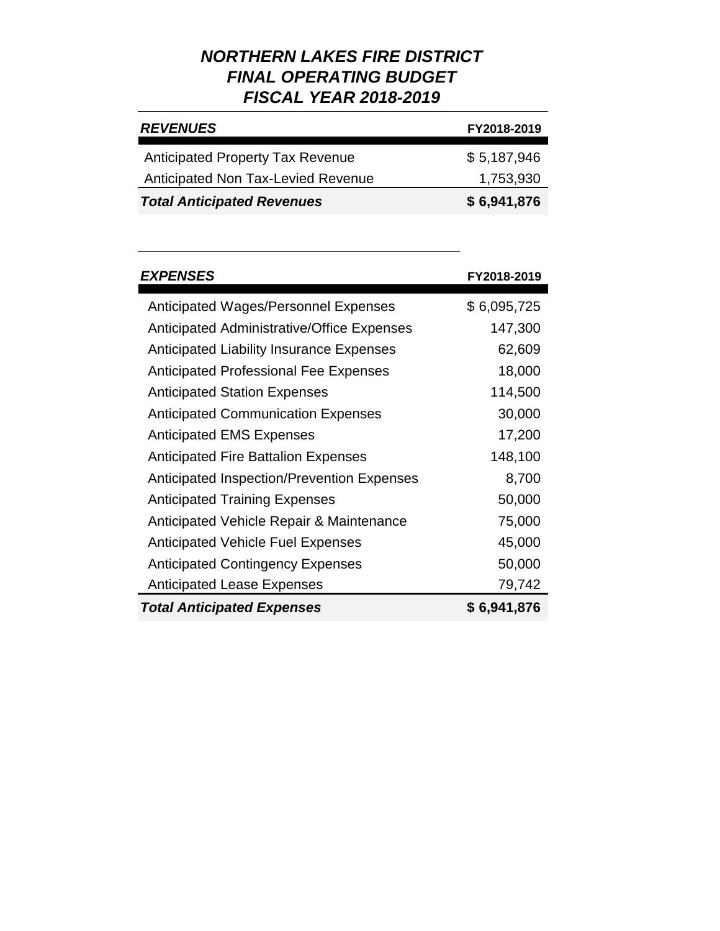| <b>REVENUES</b>                         | FY2018-2019 |
|-----------------------------------------|-------------|
|                                         |             |
| <b>Anticipated Property Tax Revenue</b> | \$5,187,946 |
| Anticipated Non Tax-Levied Revenue      | 1,753,930   |
| <b>Total Anticipated Revenues</b>       | \$6,941,876 |

| <b>EXPENSES</b>                              | FY2018-2019 |
|----------------------------------------------|-------------|
| Anticipated Wages/Personnel Expenses         | \$6,095,725 |
| Anticipated Administrative/Office Expenses   | 147,300     |
| Anticipated Liability Insurance Expenses     | 62,609      |
| <b>Anticipated Professional Fee Expenses</b> | 18,000      |
| <b>Anticipated Station Expenses</b>          | 114,500     |
| <b>Anticipated Communication Expenses</b>    | 30,000      |
| <b>Anticipated EMS Expenses</b>              | 17,200      |
| <b>Anticipated Fire Battalion Expenses</b>   | 148,100     |
| Anticipated Inspection/Prevention Expenses   | 8,700       |
| <b>Anticipated Training Expenses</b>         | 50,000      |
| Anticipated Vehicle Repair & Maintenance     | 75,000      |
| <b>Anticipated Vehicle Fuel Expenses</b>     | 45,000      |
| <b>Anticipated Contingency Expenses</b>      | 50,000      |
| <b>Anticipated Lease Expenses</b>            | 79,742      |
| <b>Total Anticipated Expenses</b>            | \$6,941,876 |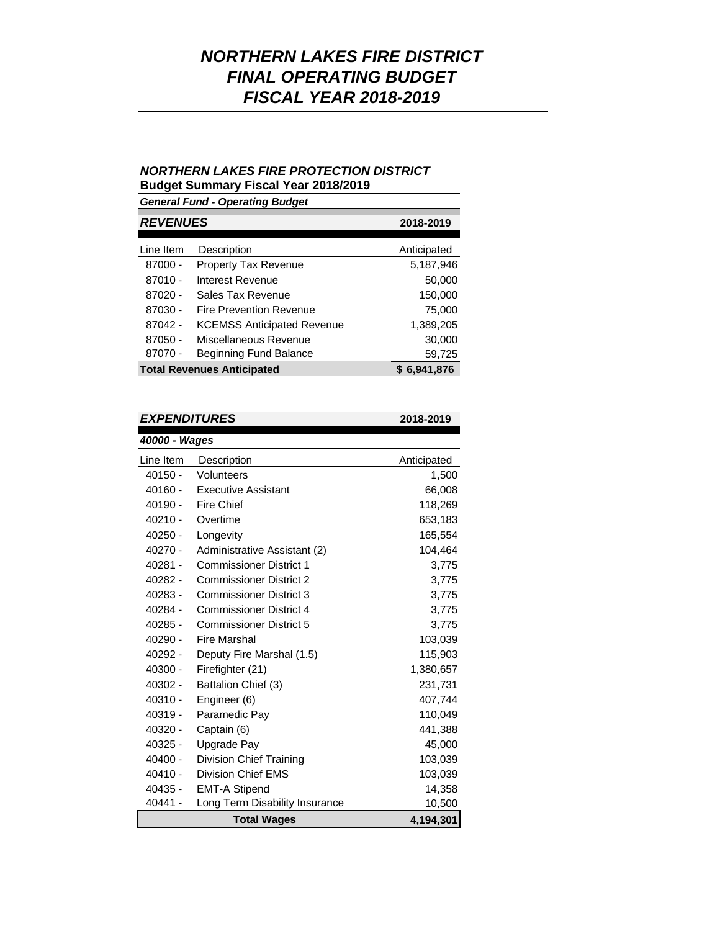#### *NORTHERN LAKES FIRE PROTECTION DISTRICT*  **Budget Summary Fiscal Year 2018/2019**

*General Fund - Operating Budget*

| <b>REVENUES</b> |                                   | 2018-2019   |
|-----------------|-----------------------------------|-------------|
|                 |                                   |             |
| Line Item       | Description                       | Anticipated |
| 87000 -         | <b>Property Tax Revenue</b>       | 5,187,946   |
| 87010 -         | Interest Revenue                  | 50,000      |
| 87020 -         | Sales Tax Revenue                 | 150,000     |
| 87030 -         | <b>Fire Prevention Revenue</b>    | 75,000      |
| 87042 -         | <b>KCEMSS Anticipated Revenue</b> | 1,389,205   |
| 87050 -         | Miscellaneous Revenue             | 30,000      |
| 87070 -         | Beginning Fund Balance            | 59,725      |
|                 | <b>Total Revenues Anticipated</b> | \$6,941,876 |

*EXPENDITURES* **2018-2019**

| 40000 - Wages |                                |             |
|---------------|--------------------------------|-------------|
| Line Item     | Description                    | Anticipated |
| $40150 -$     | Volunteers                     | 1,500       |
| 40160 -       | <b>Executive Assistant</b>     | 66,008      |
| 40190 -       | <b>Fire Chief</b>              | 118,269     |
| 40210 -       | Overtime                       | 653,183     |
| $40250 -$     | Longevity                      | 165,554     |
| $40270 -$     | Administrative Assistant (2)   | 104,464     |
| 40281 -       | <b>Commissioner District 1</b> | 3,775       |
| 40282 -       | <b>Commissioner District 2</b> | 3,775       |
| 40283 -       | <b>Commissioner District 3</b> | 3,775       |
| 40284 -       | <b>Commissioner District 4</b> | 3,775       |
| 40285 -       | <b>Commissioner District 5</b> | 3,775       |
| 40290 -       | <b>Fire Marshal</b>            | 103,039     |
| $40292 -$     | Deputy Fire Marshal (1.5)      | 115,903     |
| $40300 -$     | Firefighter (21)               | 1,380,657   |
| 40302 -       | Battalion Chief (3)            | 231,731     |
| 40310 -       | Engineer (6)                   | 407,744     |
| 40319 -       | Paramedic Pay                  | 110,049     |
| 40320 -       | Captain (6)                    | 441,388     |
| $40325 -$     | Upgrade Pay                    | 45,000      |
| $40400 -$     | <b>Division Chief Training</b> | 103,039     |
| $40410 -$     | <b>Division Chief EMS</b>      | 103,039     |
| 40435 -       | <b>EMT-A Stipend</b>           | 14,358      |
| 40441 -       | Long Term Disability Insurance | 10,500      |
|               | <b>Total Wages</b>             | 4,194,301   |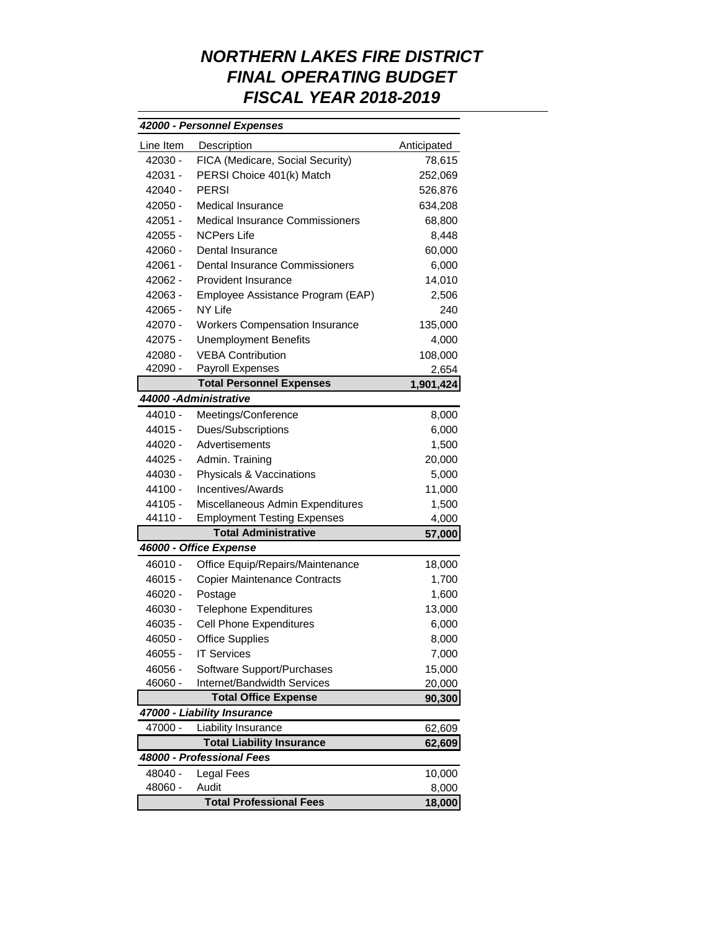|                           | 42000 - Personnel Expenses             |             |
|---------------------------|----------------------------------------|-------------|
| Line Item                 | Description                            | Anticipated |
| 42030 -                   | FICA (Medicare, Social Security)       | 78,615      |
| 42031 -                   | PERSI Choice 401(k) Match              | 252,069     |
| 42040 -                   | <b>PERSI</b>                           | 526,876     |
| $42050 -$                 | Medical Insurance                      | 634,208     |
| 42051 -                   | <b>Medical Insurance Commissioners</b> | 68,800      |
| 42055 -                   | <b>NCPers Life</b>                     | 8,448       |
| 42060 -                   | Dental Insurance                       | 60,000      |
| 42061 -                   | Dental Insurance Commissioners         | 6,000       |
| 42062 -                   | Provident Insurance                    | 14,010      |
| 42063 -                   | Employee Assistance Program (EAP)      | 2,506       |
| 42065 -                   | NY Life                                | 240         |
| 42070 -                   | <b>Workers Compensation Insurance</b>  | 135,000     |
| 42075 -                   | <b>Unemployment Benefits</b>           | 4,000       |
| 42080 -                   | <b>VEBA Contribution</b>               | 108,000     |
| 42090 -                   | Payroll Expenses                       | 2,654       |
|                           | <b>Total Personnel Expenses</b>        | 1,901,424   |
|                           | 44000 - Administrative                 |             |
| 44010 -                   | Meetings/Conference                    | 8,000       |
| $44015 -$                 | Dues/Subscriptions                     | 6,000       |
| 44020 -                   | Advertisements                         | 1,500       |
| 44025 -                   | Admin. Training                        | 20,000      |
| 44030 -                   | Physicals & Vaccinations               | 5,000       |
| 44100 -                   | Incentives/Awards                      | 11,000      |
| 44105 -                   | Miscellaneous Admin Expenditures       | 1,500       |
| 44110 -                   | <b>Employment Testing Expenses</b>     | 4,000       |
|                           | <b>Total Administrative</b>            | 57,000      |
|                           | 46000 - Office Expense                 |             |
| $46010 -$                 | Office Equip/Repairs/Maintenance       | 18,000      |
| $46015 -$                 | <b>Copier Maintenance Contracts</b>    | 1,700       |
| $46020 -$                 | Postage                                | 1,600       |
| 46030 -                   | <b>Telephone Expenditures</b>          | 13,000      |
| 46035 -                   | <b>Cell Phone Expenditures</b>         | 6,000       |
| 46050 -                   | <b>Office Supplies</b>                 | 8,000       |
| 46055 -                   | <b>IT Services</b>                     | 7,000       |
| 46056 -                   | Software Support/Purchases             | 15,000      |
| 46060 -                   | Internet/Bandwidth Services            | 20,000      |
|                           | <b>Total Office Expense</b>            | 90,300      |
|                           | 47000 - Liability Insurance            |             |
| 47000 -                   | Liability Insurance                    | 62,609      |
|                           | <b>Total Liability Insurance</b>       | 62,609      |
| 48000 - Professional Fees |                                        |             |
| 48040 -                   | Legal Fees                             | 10,000      |
| 48060 -                   | Audit                                  | 8,000       |
|                           | <b>Total Professional Fees</b>         | 18,000      |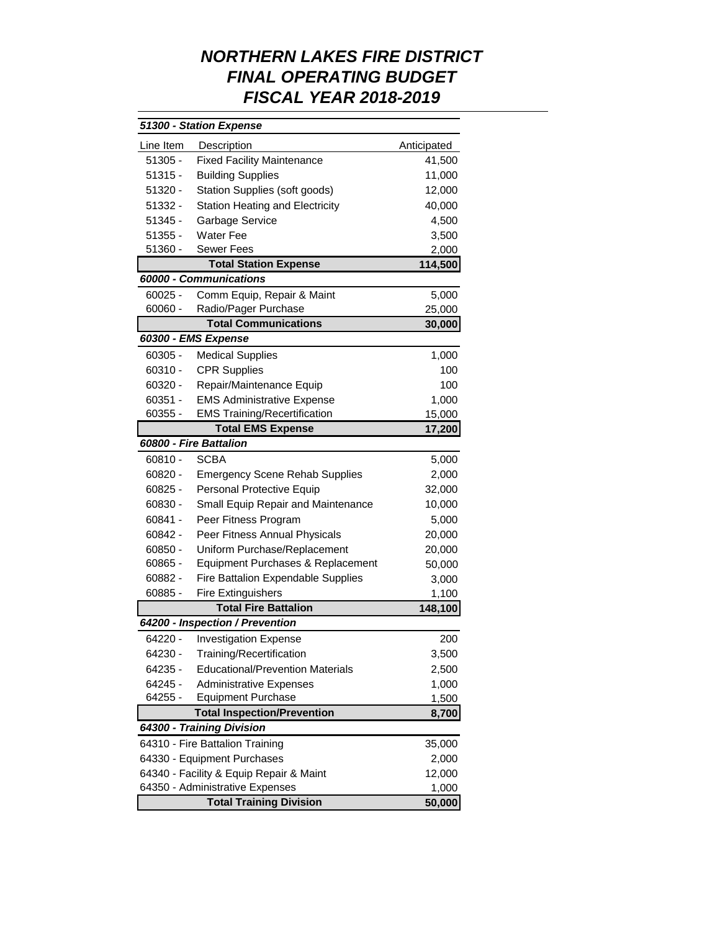|           | 51300 - Station Expense                                                    |             |
|-----------|----------------------------------------------------------------------------|-------------|
| Line Item | Description                                                                | Anticipated |
| $51305 -$ | <b>Fixed Facility Maintenance</b>                                          | 41,500      |
| 51315 -   | <b>Building Supplies</b>                                                   | 11,000      |
| 51320 -   | Station Supplies (soft goods)                                              | 12,000      |
| 51332 -   | <b>Station Heating and Electricity</b>                                     | 40,000      |
| 51345 -   | Garbage Service                                                            | 4,500       |
| 51355 -   | <b>Water Fee</b>                                                           | 3,500       |
| 51360 -   | <b>Sewer Fees</b>                                                          | 2,000       |
|           | <b>Total Station Expense</b>                                               | 114,500     |
|           | 60000 - Communications                                                     |             |
| $60025 -$ | Comm Equip, Repair & Maint                                                 | 5,000       |
| $60060 -$ | Radio/Pager Purchase                                                       | 25,000      |
|           | <b>Total Communications</b>                                                | 30,000      |
|           | 60300 - EMS Expense                                                        |             |
| $60305 -$ | <b>Medical Supplies</b>                                                    | 1,000       |
| 60310 -   | <b>CPR Supplies</b>                                                        | 100         |
| 60320 -   | Repair/Maintenance Equip                                                   | 100         |
| 60351 -   | <b>EMS Administrative Expense</b>                                          | 1,000       |
| $60355 -$ | <b>EMS Training/Recertification</b>                                        | 15,000      |
|           | <b>Total EMS Expense</b>                                                   | 17,200      |
|           | 60800 - Fire Battalion                                                     |             |
| $60810 -$ | <b>SCBA</b>                                                                | 5,000       |
| $60820 -$ | <b>Emergency Scene Rehab Supplies</b>                                      | 2,000       |
| 60825 -   | Personal Protective Equip                                                  | 32,000      |
| 60830 -   | Small Equip Repair and Maintenance                                         | 10,000      |
| 60841 -   | Peer Fitness Program                                                       | 5,000       |
| 60842 -   | Peer Fitness Annual Physicals                                              | 20,000      |
| 60850 -   | Uniform Purchase/Replacement                                               | 20,000      |
| 60865 -   | Equipment Purchases & Replacement                                          | 50,000      |
| $60882 -$ | Fire Battalion Expendable Supplies                                         | 3,000       |
| $60885 -$ | <b>Fire Extinguishers</b>                                                  | 1,100       |
|           | <b>Total Fire Battalion</b>                                                | 148,100     |
|           | 64200 - Inspection / Prevention                                            |             |
| 64220 -   | <b>Investigation Expense</b>                                               | 200         |
| 64230 -   | Training/Recertification                                                   | 3,500       |
| 64235 -   | <b>Educational/Prevention Materials</b>                                    | 2,500       |
| 64245 -   | <b>Administrative Expenses</b>                                             | 1,000       |
| 64255 -   | <b>Equipment Purchase</b>                                                  | 1,500       |
|           | <b>Total Inspection/Prevention</b>                                         | 8,700       |
|           | 64300 - Training Division                                                  |             |
|           | 64310 - Fire Battalion Training                                            | 35,000      |
|           | 64330 - Equipment Purchases                                                | 2,000       |
|           | 64340 - Facility & Equip Repair & Maint<br>64350 - Administrative Expenses | 12,000      |
|           | <b>Total Training Division</b>                                             | 1,000       |
|           |                                                                            | 50,000      |